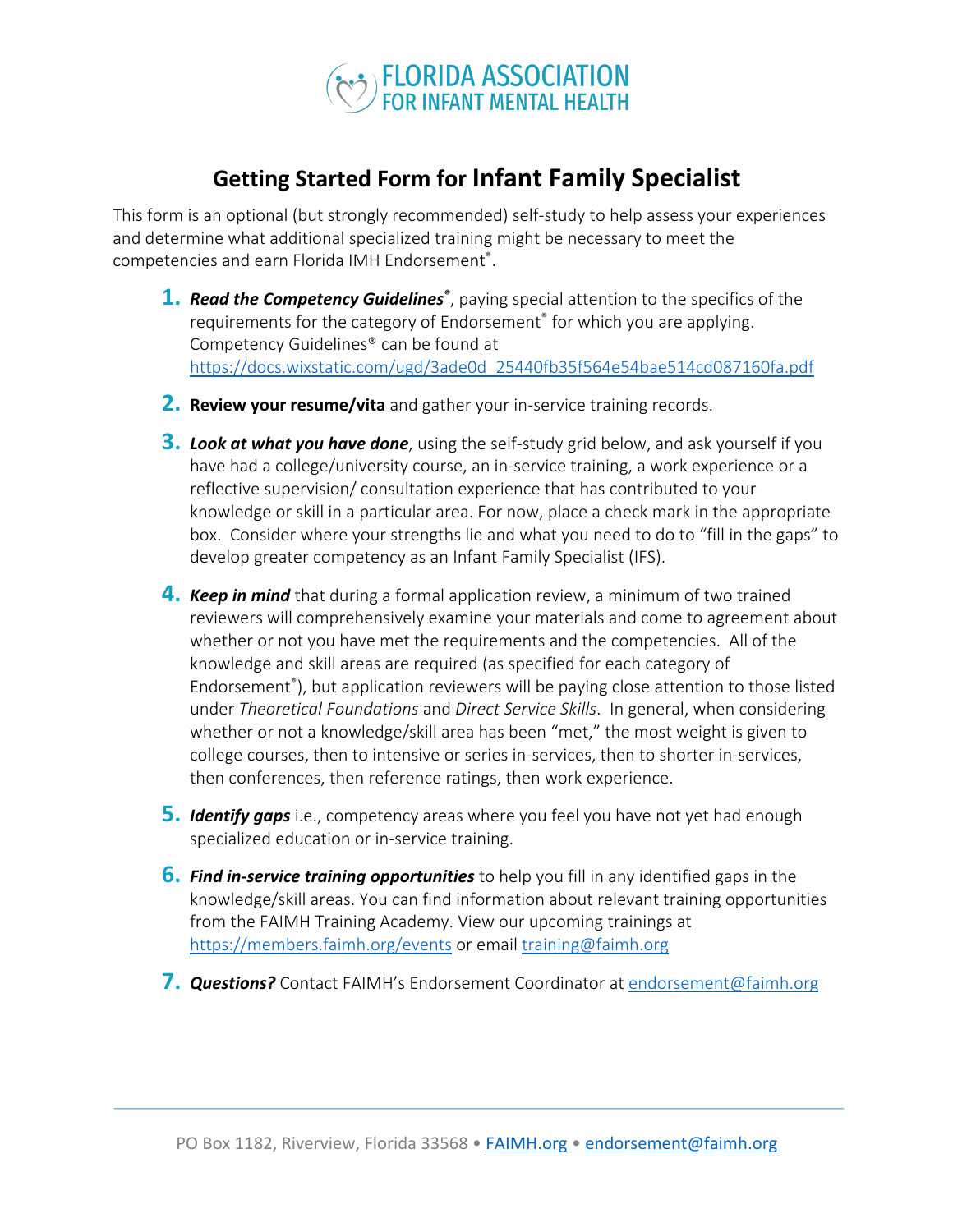

## **Getting Started Form for Infant Family Specialist**

This form is an optional (but strongly recommended) self-study to help assess your experiences and determine what additional specialized training might be necessary to meet the competencies and earn Florida IMH Endorsement® .

- **1.** *Read the Competency Guidelines®* , paying special attention to the specifics of the requirements for the category of Endorsement® for which you are applying. Competency Guidelines® can be found at https://docs.wixstatic.com/ugd/3ade0d\_25440fb35f564e54bae514cd087160fa.pdf
- **2. Review your resume/vita** and gather your in-service training records.
- **3.** *Look at what you have done*, using the self-study grid below, and ask yourself if you have had a college/university course, an in-service training, a work experience or a reflective supervision/ consultation experience that has contributed to your knowledge or skill in a particular area. For now, place a check mark in the appropriate box. Consider where your strengths lie and what you need to do to "fill in the gaps" to develop greater competency as an Infant Family Specialist (IFS).
- **4.** *Keep in mind* that during a formal application review, a minimum of two trained reviewers will comprehensively examine your materials and come to agreement about whether or not you have met the requirements and the competencies. All of the knowledge and skill areas are required (as specified for each category of Endorsement® ), but application reviewers will be paying close attention to those listed under *Theoretical Foundations* and *Direct Service Skills*. In general, when considering whether or not a knowledge/skill area has been "met," the most weight is given to college courses, then to intensive or series in-services, then to shorter in-services, then conferences, then reference ratings, then work experience.
- **5.** *Identify gaps* i.e., competency areas where you feel you have not yet had enough specialized education or in-service training.
- **6.** *Find in-service training opportunities* to help you fill in any identified gaps in the knowledge/skill areas. You can find information about relevant training opportunities from the FAIMH Training Academy. View our upcoming trainings at https://members.faimh.org/events or email training@faimh.org
- **7. Questions?** Contact FAIMH's Endorsement Coordinator at endorsement@faimh.org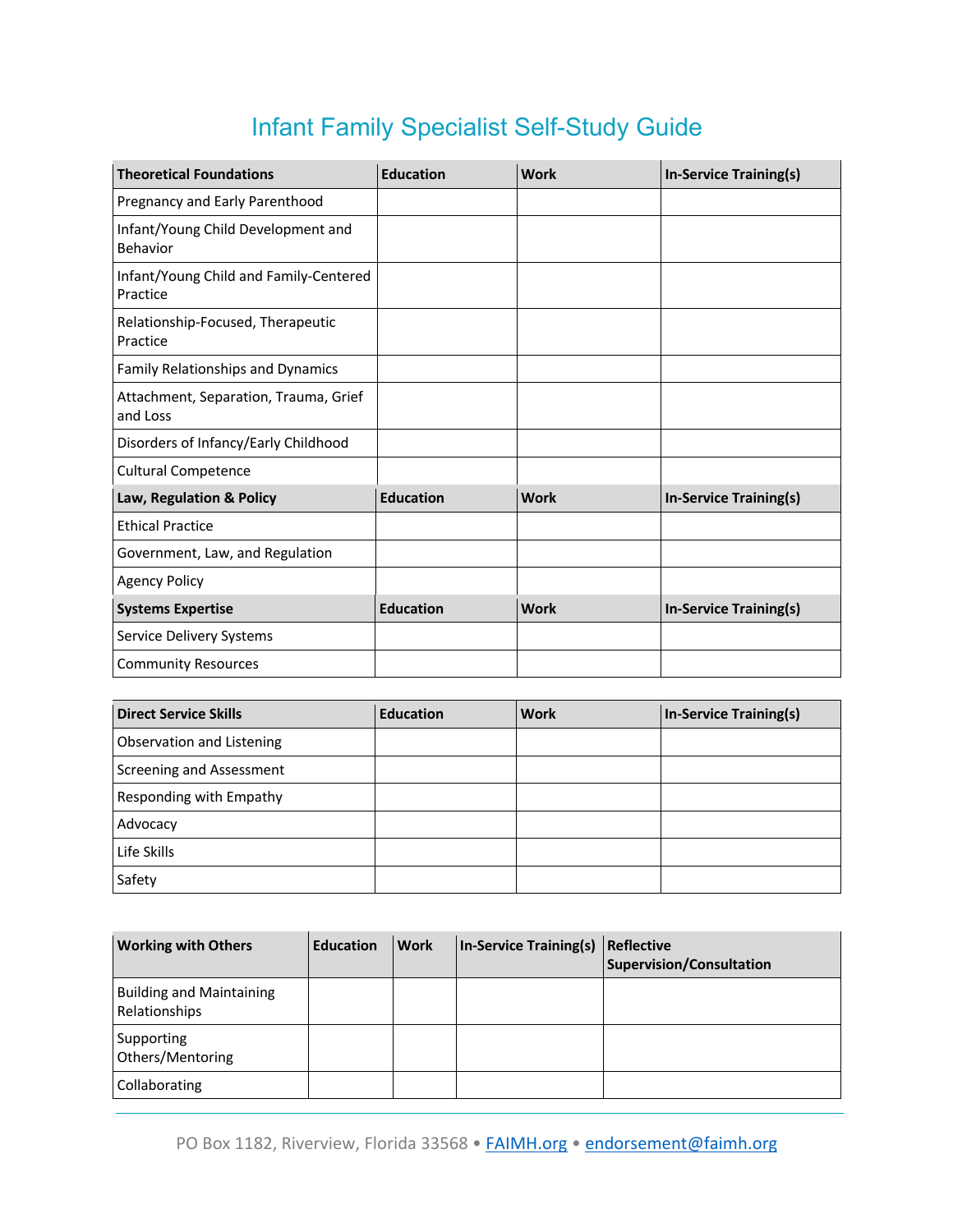## Infant Family Specialist Self-Study Guide

| <b>Theoretical Foundations</b>                     | <b>Education</b> | <b>Work</b> | In-Service Training(s)        |
|----------------------------------------------------|------------------|-------------|-------------------------------|
| Pregnancy and Early Parenthood                     |                  |             |                               |
| Infant/Young Child Development and<br>Behavior     |                  |             |                               |
| Infant/Young Child and Family-Centered<br>Practice |                  |             |                               |
| Relationship-Focused, Therapeutic<br>Practice      |                  |             |                               |
| Family Relationships and Dynamics                  |                  |             |                               |
| Attachment, Separation, Trauma, Grief<br>and Loss  |                  |             |                               |
| Disorders of Infancy/Early Childhood               |                  |             |                               |
| <b>Cultural Competence</b>                         |                  |             |                               |
| Law, Regulation & Policy                           | <b>Education</b> | <b>Work</b> | <b>In-Service Training(s)</b> |
| <b>Ethical Practice</b>                            |                  |             |                               |
| Government, Law, and Regulation                    |                  |             |                               |
| <b>Agency Policy</b>                               |                  |             |                               |
| <b>Systems Expertise</b>                           | <b>Education</b> | <b>Work</b> | In-Service Training(s)        |
| Service Delivery Systems                           |                  |             |                               |
| <b>Community Resources</b>                         |                  |             |                               |

| <b>Direct Service Skills</b> | <b>Education</b> | <b>Work</b> | <b>In-Service Training(s)</b> |
|------------------------------|------------------|-------------|-------------------------------|
| Observation and Listening    |                  |             |                               |
| Screening and Assessment     |                  |             |                               |
| Responding with Empathy      |                  |             |                               |
| Advocacy                     |                  |             |                               |
| Life Skills                  |                  |             |                               |
| Safety                       |                  |             |                               |

| <b>Working with Others</b>                       | <b>Education</b> | <b>Work</b> | In-Service Training(s) Reflective | Supervision/Consultation |
|--------------------------------------------------|------------------|-------------|-----------------------------------|--------------------------|
| <b>Building and Maintaining</b><br>Relationships |                  |             |                                   |                          |
| Supporting<br>Others/Mentoring                   |                  |             |                                   |                          |
| Collaborating                                    |                  |             |                                   |                          |